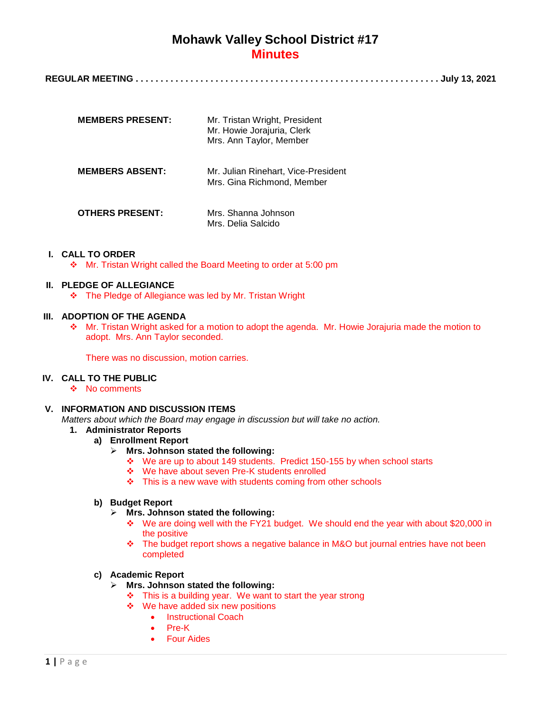| <b>MEMBERS PRESENT:</b> | Mr. Tristan Wright, President<br>Mr. Howie Jorajuria, Clerk<br>Mrs. Ann Taylor, Member |
|-------------------------|----------------------------------------------------------------------------------------|
| <b>MEMBERS ABSENT:</b>  | Mr. Julian Rinehart, Vice-President<br>Mrs. Gina Richmond, Member                      |
| <b>OTHERS PRESENT:</b>  | Mrs. Shanna Johnson<br>Mrs. Delia Salcido                                              |

### **I. CALL TO ORDER**

Mr. Tristan Wright called the Board Meeting to order at 5:00 pm

#### **II. PLEDGE OF ALLEGIANCE**

The Pledge of Allegiance was led by Mr. Tristan Wright

### **III. ADOPTION OF THE AGENDA**

\* Mr. Tristan Wright asked for a motion to adopt the agenda. Mr. Howie Jorajuria made the motion to adopt. Mrs. Ann Taylor seconded.

There was no discussion, motion carries.

## **IV. CALL TO THE PUBLIC**

❖ No comments

## **V. INFORMATION AND DISCUSSION ITEMS**

*Matters about which the Board may engage in discussion but will take no action.*

## **1. Administrator Reports**

- **a) Enrollment Report**
	- **Mrs. Johnson stated the following:**
		- We are up to about 149 students. Predict 150-155 by when school starts
		- We have about seven Pre-K students enrolled
		- $\div$  This is a new wave with students coming from other schools

#### **b) Budget Report**

- **Mrs. Johnson stated the following:**
	- We are doing well with the FY21 budget. We should end the year with about \$20,000 in the positive
	- The budget report shows a negative balance in M&O but journal entries have not been completed

## **c) Academic Report**

- **Mrs. Johnson stated the following:**
	- $\div$  This is a building year. We want to start the year strong
	- ❖ We have added six new positions
		- Instructional Coach
		- Pre-K
		- Four Aides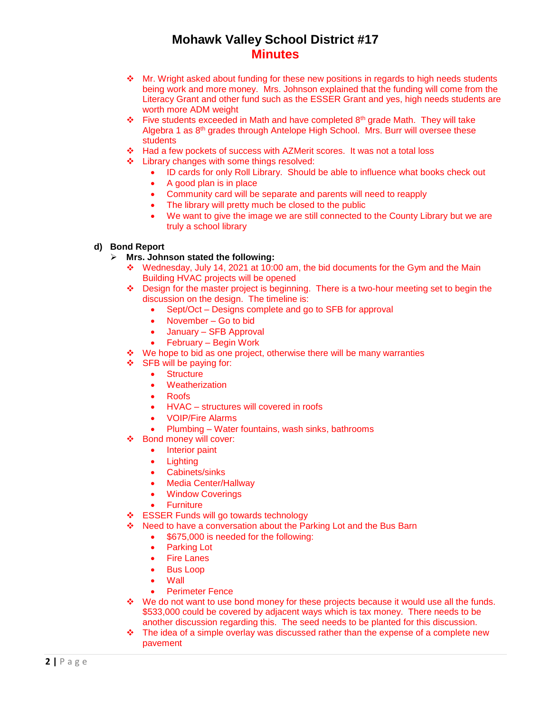- $\cdot \cdot$  Mr. Wright asked about funding for these new positions in regards to high needs students being work and more money. Mrs. Johnson explained that the funding will come from the Literacy Grant and other fund such as the ESSER Grant and yes, high needs students are worth more ADM weight
- Five students exceeded in Math and have completed 8<sup>th</sup> grade Math. They will take Algebra 1 as 8th grades through Antelope High School. Mrs. Burr will oversee these students
- Had a few pockets of success with AZMerit scores. It was not a total loss
- ❖ Library changes with some things resolved:
	- ID cards for only Roll Library. Should be able to influence what books check out
	- A good plan is in place
	- Community card will be separate and parents will need to reapply
	- The library will pretty much be closed to the public
	- We want to give the image we are still connected to the County Library but we are truly a school library

### **d) Bond Report**

### **Mrs. Johnson stated the following:**

- $\div$  Wednesday, July 14, 2021 at 10:00 am, the bid documents for the Gym and the Main Building HVAC projects will be opened
- $\div$  Design for the master project is beginning. There is a two-hour meeting set to begin the discussion on the design. The timeline is:
	- Sept/Oct Designs complete and go to SFB for approval
	- November Go to bid
	- January SFB Approval
	- February Begin Work
- $\cdot$  We hope to bid as one project, otherwise there will be many warranties
- $\div$  SFB will be paying for:
	- Structure
	- Weatherization
	- Roofs
	- HVAC structures will covered in roofs
	- VOIP/Fire Alarms
	- Plumbing Water fountains, wash sinks, bathrooms
- Bond money will cover:
	- Interior paint
	- Lighting
	- Cabinets/sinks
	- Media Center/Hallway
	- Window Coverings
	- **Furniture**
- ❖ ESSER Funds will go towards technology
- ❖ Need to have a conversation about the Parking Lot and the Bus Barn
	- \$675,000 is needed for the following:
	- Parking Lot
	- Fire Lanes
	- Bus Loop
	- Wall
	- Perimeter Fence
- $\div$  We do not want to use bond money for these projects because it would use all the funds. \$533,000 could be covered by adjacent ways which is tax money. There needs to be another discussion regarding this. The seed needs to be planted for this discussion.
- \* The idea of a simple overlay was discussed rather than the expense of a complete new pavement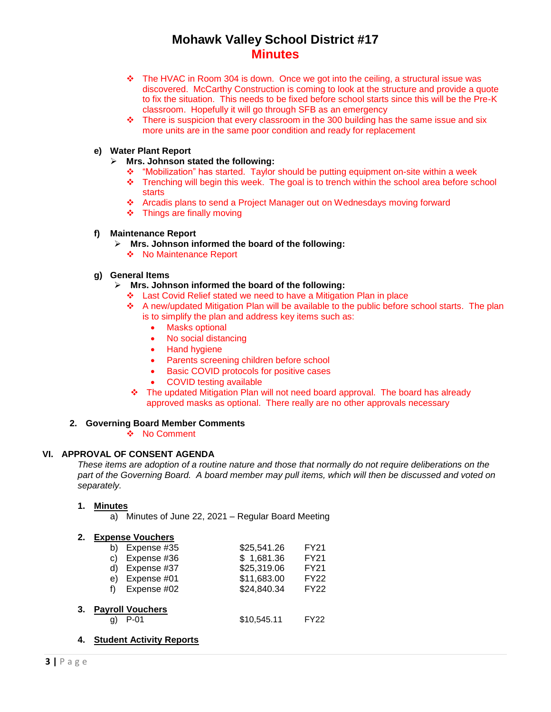- $\div$  The HVAC in Room 304 is down. Once we got into the ceiling, a structural issue was discovered. McCarthy Construction is coming to look at the structure and provide a quote to fix the situation. This needs to be fixed before school starts since this will be the Pre-K classroom. Hopefully it will go through SFB as an emergency
- \* There is suspicion that every classroom in the 300 building has the same issue and six more units are in the same poor condition and ready for replacement

### **e) Water Plant Report**

- **Mrs. Johnson stated the following:**
	- "Mobilization" has started. Taylor should be putting equipment on-site within a week
	- $\div$  Trenching will begin this week. The goal is to trench within the school area before school starts
	- Arcadis plans to send a Project Manager out on Wednesdays moving forward
	- Things are finally moving

#### **f) Maintenance Report**

- **Mrs. Johnson informed the board of the following:**
	- ◆ No Maintenance Report

## **g) General Items**

- **Mrs. Johnson informed the board of the following:**
	- Last Covid Relief stated we need to have a Mitigation Plan in place
	- A new/updated Mitigation Plan will be available to the public before school starts. The plan is to simplify the plan and address key items such as:
		- Masks optional
		- No social distancing
		- Hand hygiene
		- Parents screening children before school
		- **•** Basic COVID protocols for positive cases
		- COVID testing available
	- The updated Mitigation Plan will not need board approval. The board has already approved masks as optional. There really are no other approvals necessary

## **2. Governing Board Member Comments**

❖ No Comment

#### **VI. APPROVAL OF CONSENT AGENDA**

*These items are adoption of a routine nature and those that normally do not require deliberations on the part of the Governing Board. A board member may pull items, which will then be discussed and voted on separately.*

## **1. Minutes**

a) Minutes of June 22, 2021 – Regular Board Meeting

#### **2. Expense Vouchers**

| b) | Expense #35    | \$25,541.26 | <b>FY21</b> |  |  |  |
|----|----------------|-------------|-------------|--|--|--|
| C) | Expense #36    | \$1,681.36  | FY21        |  |  |  |
|    | d) Expense #37 | \$25,319.06 | FY21        |  |  |  |
|    | e) Expense #01 | \$11,683.00 | <b>FY22</b> |  |  |  |
|    | Expense #02    | \$24,840.34 | <b>FY22</b> |  |  |  |
|    |                |             |             |  |  |  |
|    |                |             |             |  |  |  |

### **3. Payroll Vouchers**

- q) P-01 \$10,545.11 FY22
- **4. Student Activity Reports**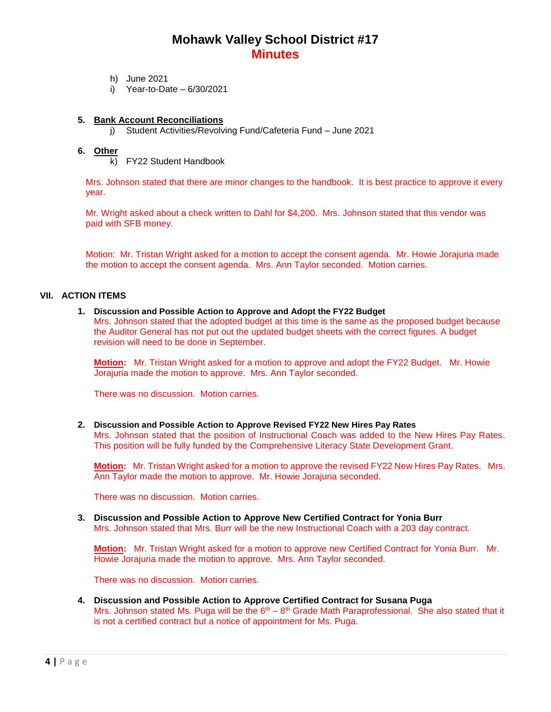- h) June 2021
- i) Year-to-Date 6/30/2021

### **5. Bank Account Reconciliations**

j) Student Activities/Revolving Fund/Cafeteria Fund – June 2021

### **6. Other**

k) FY22 Student Handbook

Mrs. Johnson stated that there are minor changes to the handbook. It is best practice to approve it every year.

Mr. Wright asked about a check written to Dahl for \$4,200. Mrs. Johnson stated that this vendor was paid with SFB money.

Motion: Mr. Tristan Wright asked for a motion to accept the consent agenda. Mr. Howie Jorajuria made the motion to accept the consent agenda. Mrs. Ann Taylor seconded. Motion carries.

#### **VII. ACTION ITEMS**

#### **1. Discussion and Possible Action to Approve and Adopt the FY22 Budget**

Mrs. Johnson stated that the adopted budget at this time is the same as the proposed budget because the Auditor General has not put out the updated budget sheets with the correct figures. A budget revision will need to be done in September.

**Motion:** Mr. Tristan Wright asked for a motion to approve and adopt the FY22 Budget. Mr. Howie Jorajuria made the motion to approve. Mrs. Ann Taylor seconded.

There was no discussion. Motion carries.

#### **2. Discussion and Possible Action to Approve Revised FY22 New Hires Pay Rates**

Mrs. Johnson stated that the position of Instructional Coach was added to the New Hires Pay Rates. This position will be fully funded by the Comprehensive Literacy State Development Grant.

**Motion:** Mr. Tristan Wright asked for a motion to approve the revised FY22 New Hires Pay Rates. Mrs. Ann Taylor made the motion to approve. Mr. Howie Jorajuria seconded.

There was no discussion. Motion carries.

**3. Discussion and Possible Action to Approve New Certified Contract for Yonia Burr** Mrs. Johnson stated that Mrs. Burr will be the new Instructional Coach with a 203 day contract.

**Motion:** Mr. Tristan Wright asked for a motion to approve new Certified Contract for Yonia Burr. Mr. Howie Jorajuria made the motion to approve. Mrs. Ann Taylor seconded.

There was no discussion. Motion carries.

**4. Discussion and Possible Action to Approve Certified Contract for Susana Puga** Mrs. Johnson stated Ms. Puga will be the  $6<sup>th</sup> - 8<sup>th</sup>$  Grade Math Paraprofessional. She also stated that it is not a certified contract but a notice of appointment for Ms. Puga.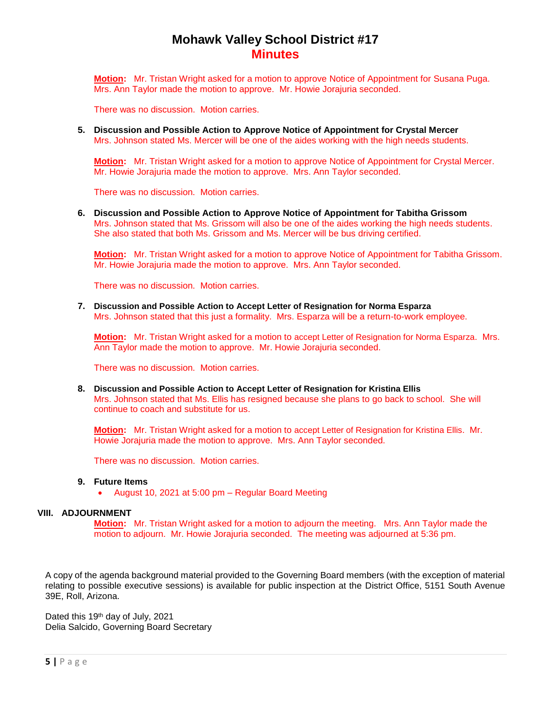**Motion:** Mr. Tristan Wright asked for a motion to approve Notice of Appointment for Susana Puga. Mrs. Ann Taylor made the motion to approve. Mr. Howie Jorajuria seconded.

There was no discussion. Motion carries.

**5. Discussion and Possible Action to Approve Notice of Appointment for Crystal Mercer** Mrs. Johnson stated Ms. Mercer will be one of the aides working with the high needs students.

**Motion:** Mr. Tristan Wright asked for a motion to approve Notice of Appointment for Crystal Mercer. Mr. Howie Jorajuria made the motion to approve. Mrs. Ann Taylor seconded.

There was no discussion. Motion carries.

**6. Discussion and Possible Action to Approve Notice of Appointment for Tabitha Grissom** Mrs. Johnson stated that Ms. Grissom will also be one of the aides working the high needs students. She also stated that both Ms. Grissom and Ms. Mercer will be bus driving certified.

**Motion:** Mr. Tristan Wright asked for a motion to approve Notice of Appointment for Tabitha Grissom. Mr. Howie Jorajuria made the motion to approve. Mrs. Ann Taylor seconded.

There was no discussion. Motion carries.

**7. Discussion and Possible Action to Accept Letter of Resignation for Norma Esparza** Mrs. Johnson stated that this just a formality. Mrs. Esparza will be a return-to-work employee.

**Motion:** Mr. Tristan Wright asked for a motion to accept Letter of Resignation for Norma Esparza. Mrs. Ann Taylor made the motion to approve. Mr. Howie Jorajuria seconded.

There was no discussion. Motion carries.

**8. Discussion and Possible Action to Accept Letter of Resignation for Kristina Ellis** Mrs. Johnson stated that Ms. Ellis has resigned because she plans to go back to school. She will continue to coach and substitute for us.

**Motion:** Mr. Tristan Wright asked for a motion to accept Letter of Resignation for Kristina Ellis. Mr. Howie Jorajuria made the motion to approve. Mrs. Ann Taylor seconded.

There was no discussion. Motion carries.

#### **9. Future Items**

August 10, 2021 at 5:00 pm – Regular Board Meeting

#### **VIII. ADJOURNMENT**

**Motion:** Mr. Tristan Wright asked for a motion to adjourn the meeting. Mrs. Ann Taylor made the motion to adjourn. Mr. Howie Jorajuria seconded. The meeting was adjourned at 5:36 pm.

A copy of the agenda background material provided to the Governing Board members (with the exception of material relating to possible executive sessions) is available for public inspection at the District Office, 5151 South Avenue 39E, Roll, Arizona.

Dated this 19th day of July, 2021 Delia Salcido, Governing Board Secretary